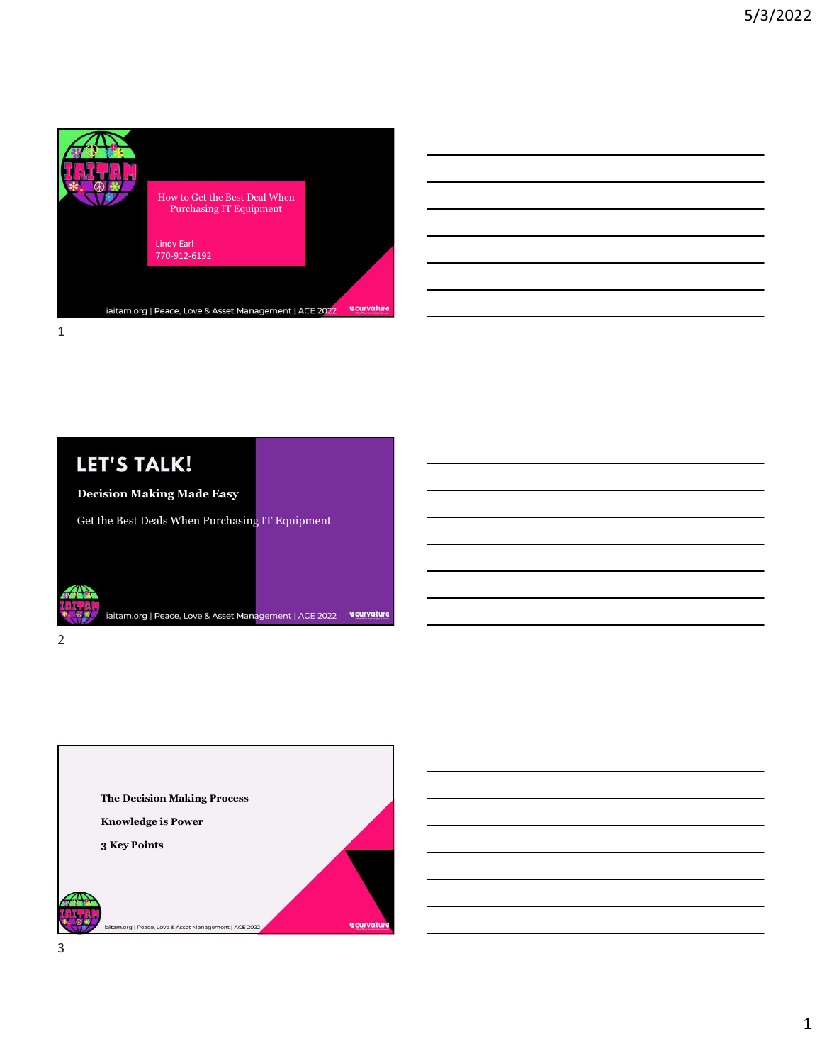

| LET'S TALK!                                     |  |
|-------------------------------------------------|--|
| <b>Decision Making Made Easy</b>                |  |
| Get the Best Deals When Purchasing IT Equipment |  |

2

iaitam.org | Peace, Love & Asset Management | ACE 2022 | Curvature

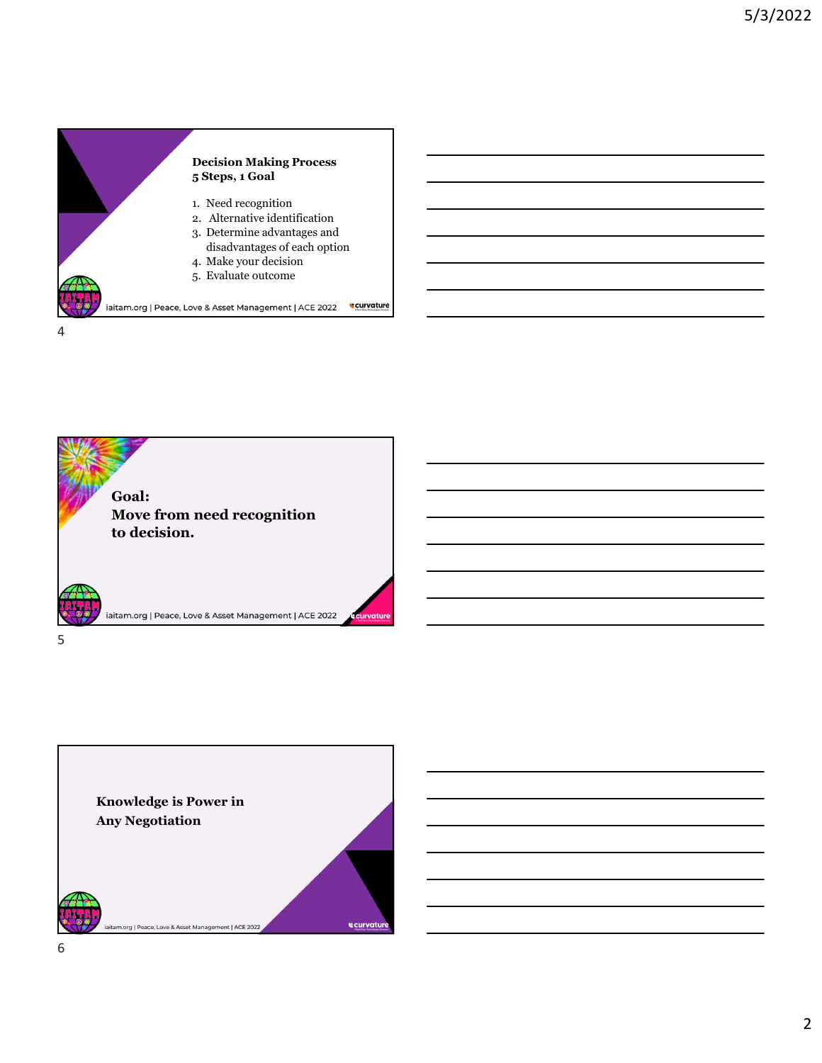



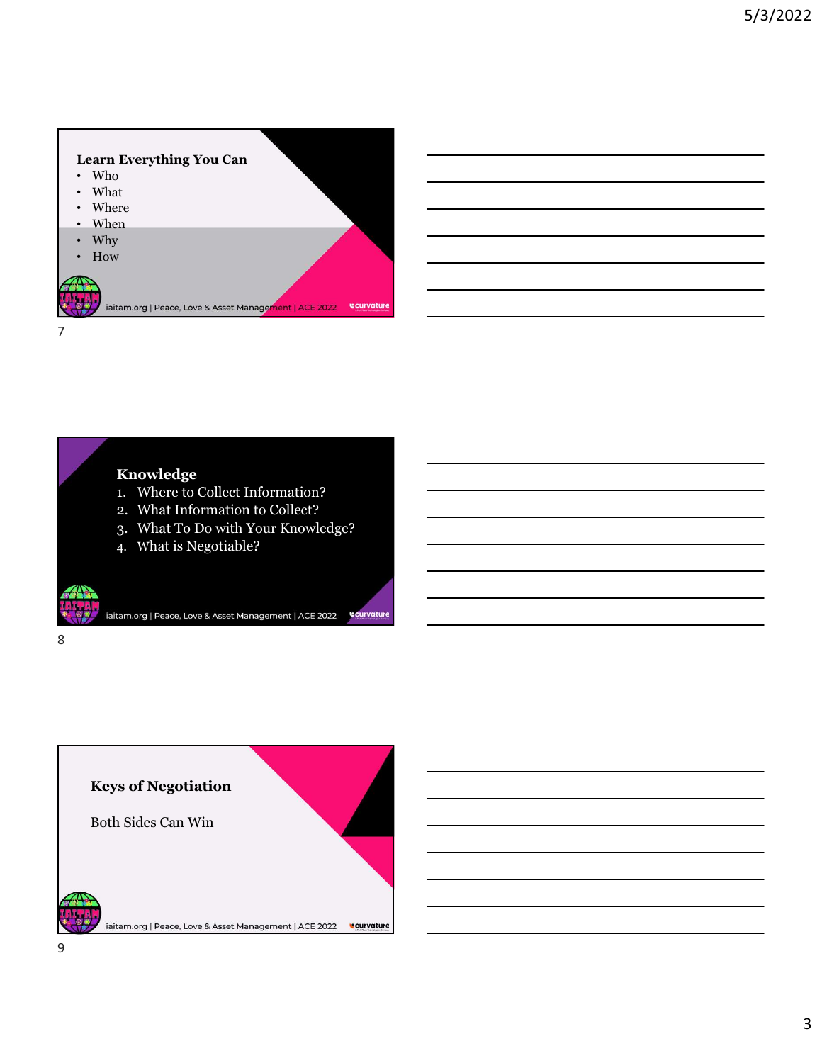

## Knowledge

- 
- 
- 
- 

8 and 2010 and 2010 and 2010 and 2010 and 2010 and 2010 and 2010 and 2010 and 2010 and 2010 and 2010 and 2010



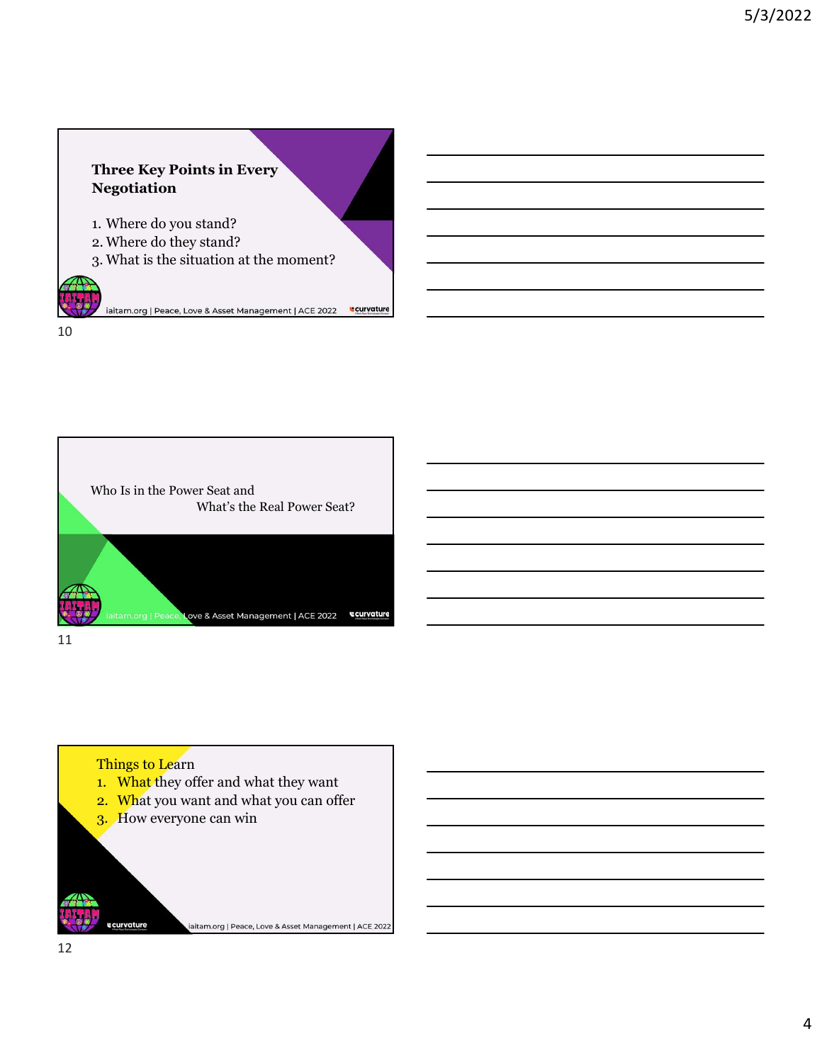

10



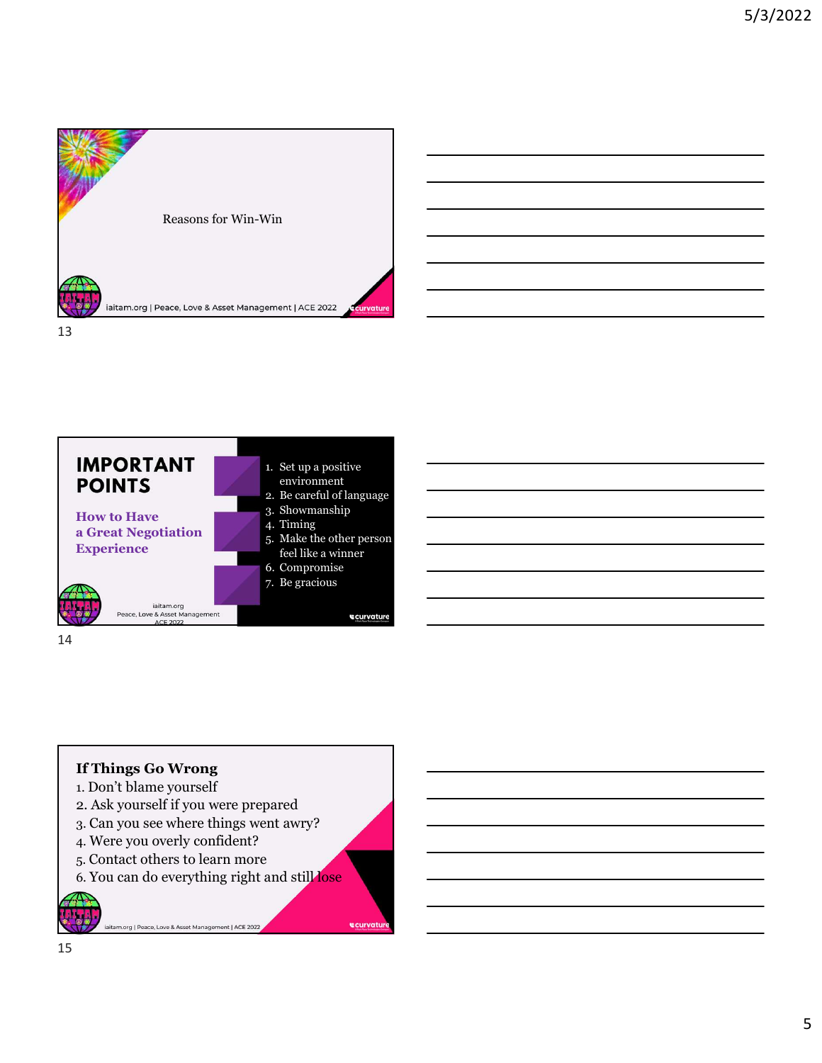







- 1. Don't blame yourself
- 2. Ask yourself if you were prepared 3. Can you see where things went awry?
- 4. Were you overly confident?

iaitam.org | Peace, Love & Asset Management | ACE 2022

- 5. Contact others to learn more
- 6. You can do everything right and still lose